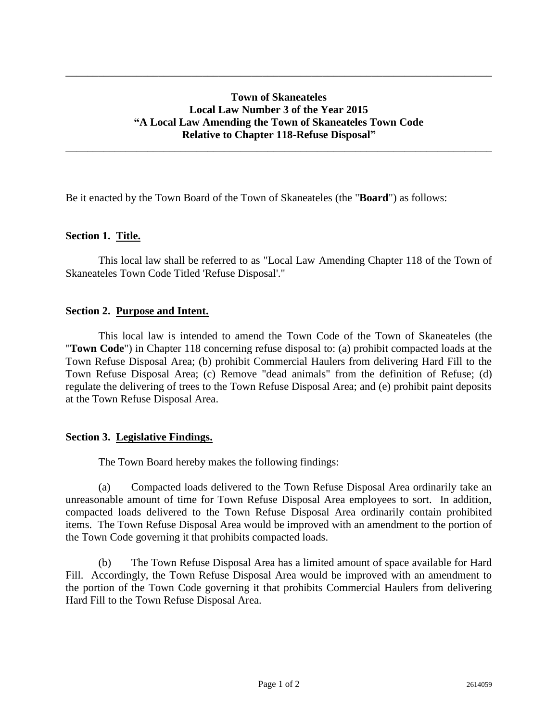# **Town of Skaneateles Local Law Number 3 of the Year 2015 "A Local Law Amending the Town of Skaneateles Town Code Relative to Chapter 118-Refuse Disposal"**

\_\_\_\_\_\_\_\_\_\_\_\_\_\_\_\_\_\_\_\_\_\_\_\_\_\_\_\_\_\_\_\_\_\_\_\_\_\_\_\_\_\_\_\_\_\_\_\_\_\_\_\_\_\_\_\_\_\_\_\_\_\_\_\_\_\_\_\_\_\_\_\_\_\_\_\_\_\_

\_\_\_\_\_\_\_\_\_\_\_\_\_\_\_\_\_\_\_\_\_\_\_\_\_\_\_\_\_\_\_\_\_\_\_\_\_\_\_\_\_\_\_\_\_\_\_\_\_\_\_\_\_\_\_\_\_\_\_\_\_\_\_\_\_\_\_\_\_\_\_\_\_\_\_\_\_\_

Be it enacted by the Town Board of the Town of Skaneateles (the "**Board**") as follows:

### **Section 1. Title.**

This local law shall be referred to as "Local Law Amending Chapter 118 of the Town of Skaneateles Town Code Titled 'Refuse Disposal'."

### **Section 2. Purpose and Intent.**

This local law is intended to amend the Town Code of the Town of Skaneateles (the "**Town Code**") in Chapter 118 concerning refuse disposal to: (a) prohibit compacted loads at the Town Refuse Disposal Area; (b) prohibit Commercial Haulers from delivering Hard Fill to the Town Refuse Disposal Area; (c) Remove "dead animals" from the definition of Refuse; (d) regulate the delivering of trees to the Town Refuse Disposal Area; and (e) prohibit paint deposits at the Town Refuse Disposal Area.

#### **Section 3. Legislative Findings.**

The Town Board hereby makes the following findings:

(a) Compacted loads delivered to the Town Refuse Disposal Area ordinarily take an unreasonable amount of time for Town Refuse Disposal Area employees to sort. In addition, compacted loads delivered to the Town Refuse Disposal Area ordinarily contain prohibited items. The Town Refuse Disposal Area would be improved with an amendment to the portion of the Town Code governing it that prohibits compacted loads.

(b) The Town Refuse Disposal Area has a limited amount of space available for Hard Fill. Accordingly, the Town Refuse Disposal Area would be improved with an amendment to the portion of the Town Code governing it that prohibits Commercial Haulers from delivering Hard Fill to the Town Refuse Disposal Area.